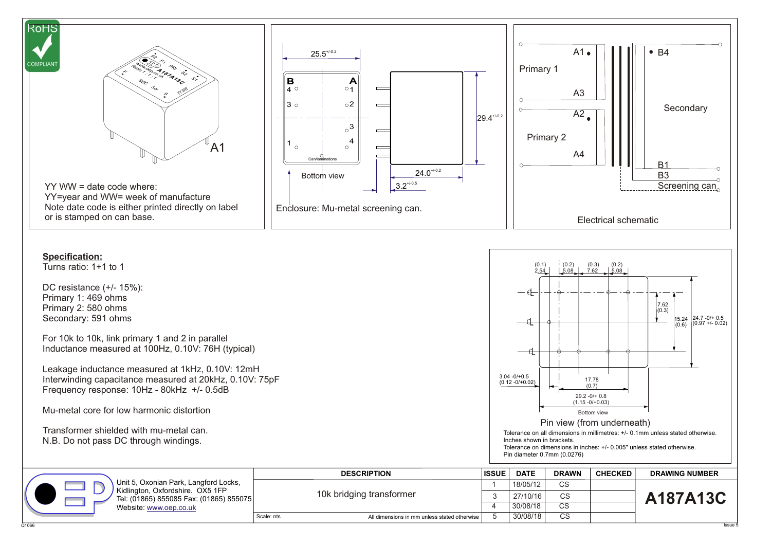

Q1066 Issue 5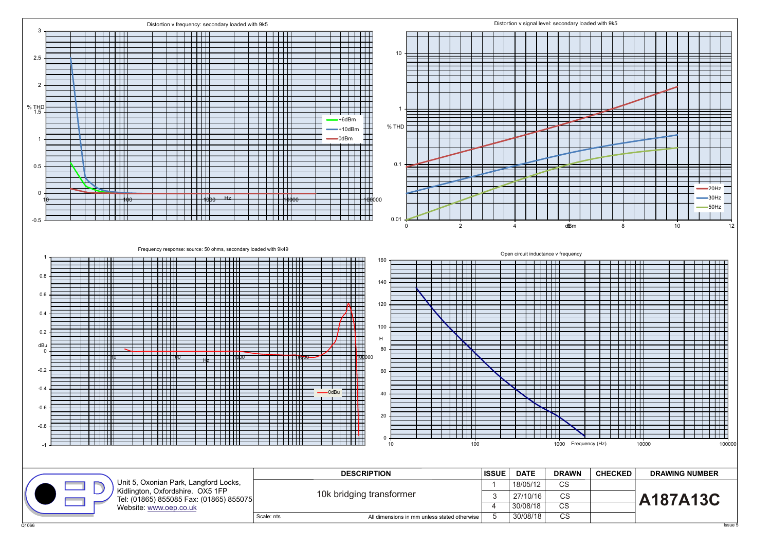